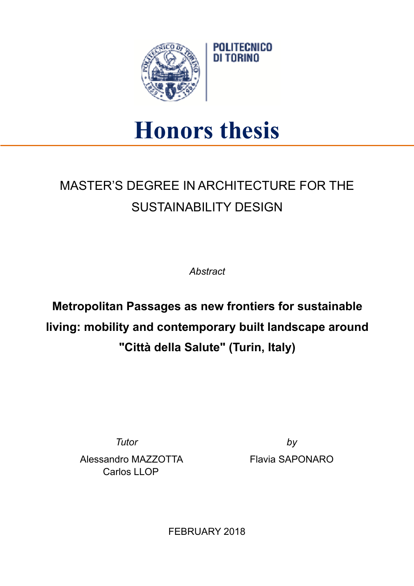

## **Honors thesis**

## MASTER'S DEGREE IN ARCHITECTURE FOR THE SUSTAINABILITY DESIGN

*Abstract* 

**Metropolitan Passages as new frontiers for sustainable living: mobility and contemporary built landscape around "Città della Salute" (Turin, Italy)** 

Alessandro MAZZOTTA Carlos LLOP

*Tutor by* Flavia SAPONARO

FEBRUARY 2018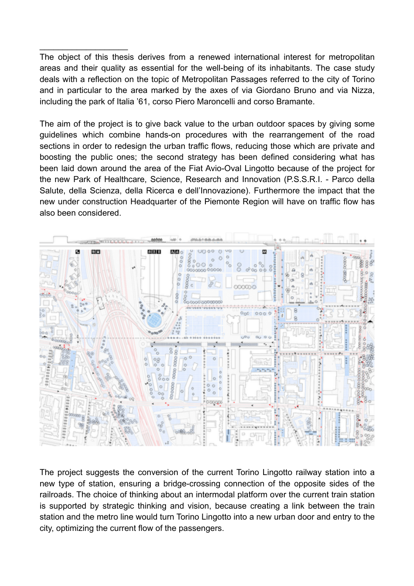The object of this thesis derives from a renewed international interest for metropolitan areas and their quality as essential for the well-being of its inhabitants. The case study deals with a reflection on the topic of Metropolitan Passages referred to the city of Torino and in particular to the area marked by the axes of via Giordano Bruno and via Nizza, including the park of Italia '61, corso Piero Maroncelli and corso Bramante.

 $\frac{1}{2}$  ,  $\frac{1}{2}$  ,  $\frac{1}{2}$  ,  $\frac{1}{2}$  ,  $\frac{1}{2}$  ,  $\frac{1}{2}$  ,  $\frac{1}{2}$  ,  $\frac{1}{2}$  ,  $\frac{1}{2}$  ,  $\frac{1}{2}$ 

The aim of the project is to give back value to the urban outdoor spaces by giving some guidelines which combine hands-on procedures with the rearrangement of the road sections in order to redesign the urban traffic flows, reducing those which are private and boosting the public ones; the second strategy has been defined considering what has been laid down around the area of the Fiat Avio-Oval Lingotto because of the project for the new Park of Healthcare, Science, Research and Innovation (P.S.S.R.I. - Parco della Salute, della Scienza, della Ricerca e dell'Innovazione). Furthermore the impact that the new under construction Headquarter of the Piemonte Region will have on traffic flow has also been considered.



The project suggests the conversion of the current Torino Lingotto railway station into a new type of station, ensuring a bridge-crossing connection of the opposite sides of the railroads. The choice of thinking about an intermodal platform over the current train station is supported by strategic thinking and vision, because creating a link between the train station and the metro line would turn Torino Lingotto into a new urban door and entry to the city, optimizing the current flow of the passengers.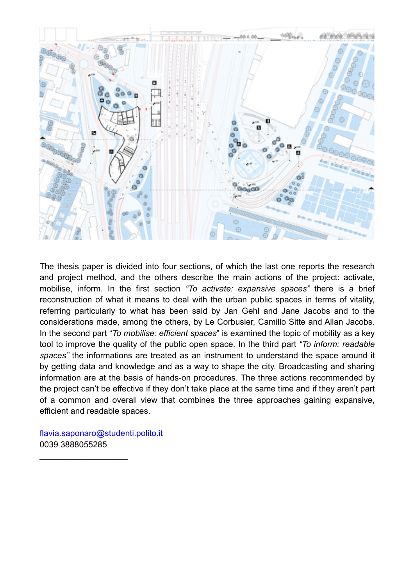

The thesis paper is divided into four sections, of which the last one reports the research and project method, and the others describe the main actions of the project: activate, mobilise, inform. In the first section *"To activate: expansive spaces"* there is a brief reconstruction of what it means to deal with the urban public spaces in terms of vitality, referring particularly to what has been said by Jan Gehl and Jane Jacobs and to the considerations made, among the others, by Le Corbusier, Camillo Sitte and Allan Jacobs. In the second part "*To mobilise: efficient spaces*" is examined the topic of mobility as a key tool to improve the quality of the public open space. In the third part *"To inform: readable spaces"* the informations are treated as an instrument to understand the space around it by getting data and knowledge and as a way to shape the city. Broadcasting and sharing information are at the basis of hands-on procedures. The three actions recommended by the project can't be effective if they don't take place at the same time and if they aren't part of a common and overall view that combines the three approaches gaining expansive, efficient and readable spaces.

[flavia.saponaro@studenti.polito.it](mailto:flavia.saponaro@studenti.polito.it) 0039 3888055285

 $\frac{1}{2}$  ,  $\frac{1}{2}$  ,  $\frac{1}{2}$  ,  $\frac{1}{2}$  ,  $\frac{1}{2}$  ,  $\frac{1}{2}$  ,  $\frac{1}{2}$  ,  $\frac{1}{2}$  ,  $\frac{1}{2}$  ,  $\frac{1}{2}$